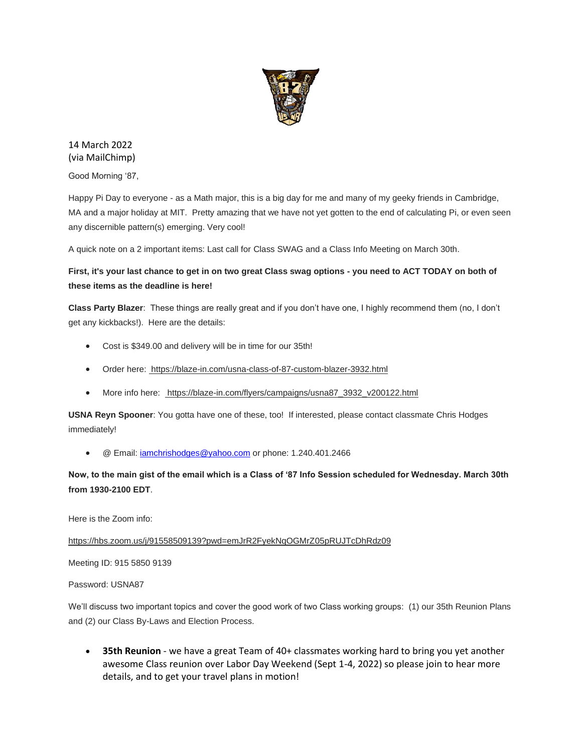

14 March 2022 (via MailChimp)

Good Morning '87,

Happy Pi Day to everyone - as a Math major, this is a big day for me and many of my geeky friends in Cambridge, MA and a major holiday at MIT. Pretty amazing that we have not yet gotten to the end of calculating Pi, or even seen any discernible pattern(s) emerging. Very cool!

A quick note on a 2 important items: Last call for Class SWAG and a Class Info Meeting on March 30th.

## **First, it's your last chance to get in on two great Class swag options - you need to ACT TODAY on both of these items as the deadline is here!**

**Class Party Blazer**: These things are really great and if you don't have one, I highly recommend them (no, I don't get any kickbacks!). Here are the details:

- Cost is \$349.00 and delivery will be in time for our 35th!
- Order here: [https://blaze-in.com/usna-class-of-87-custom-blazer-3932.html](https://urldefense.com/v3/__https:/usna87.us8.list-manage.com/track/click?u=2684e72b50947e1384ea3ea73&id=a947ab2309&e=481298a62f__;!!MvWE!R_8SLZlmk0UNpRj_hx2i_3jHn1GGSA3M3TPNeSxelWUCdJXdzMpzebTa1nw3ekNMVQ$)
- More info here: [https://blaze-in.com/flyers/campaigns/usna87\\_3932\\_v200122.html](https://urldefense.com/v3/__https:/usna87.us8.list-manage.com/track/click?u=2684e72b50947e1384ea3ea73&id=3283c708a2&e=481298a62f__;!!MvWE!R_8SLZlmk0UNpRj_hx2i_3jHn1GGSA3M3TPNeSxelWUCdJXdzMpzebTa1nwTL6gkLw$)

**USNA Reyn Spooner**: You gotta have one of these, too! If interested, please contact classmate Chris Hodges immediately!

• @ Email: *iamchrishodges@yahoo.com* or phone: 1.240.401.2466

**Now, to the main gist of the email which is a Class of '87 Info Session scheduled for Wednesday. March 30th from 1930-2100 EDT**.

Here is the Zoom info:

[https://hbs.zoom.us/j/91558509139?pwd=emJrR2FyekNqOGMrZ05pRUJTcDhRdz09](https://urldefense.com/v3/__https:/usna87.us8.list-manage.com/track/click?u=2684e72b50947e1384ea3ea73&id=9380c058af&e=481298a62f__;!!MvWE!R_8SLZlmk0UNpRj_hx2i_3jHn1GGSA3M3TPNeSxelWUCdJXdzMpzebTa1nxXEToTCQ$)

Meeting ID: 915 5850 9139

Password: USNA87

We'll discuss two important topics and cover the good work of two Class working groups: (1) our 35th Reunion Plans and (2) our Class By-Laws and Election Process.

• **35th Reunion** - we have a great Team of 40+ classmates working hard to bring you yet another awesome Class reunion over Labor Day Weekend (Sept 1-4, 2022) so please join to hear more details, and to get your travel plans in motion!